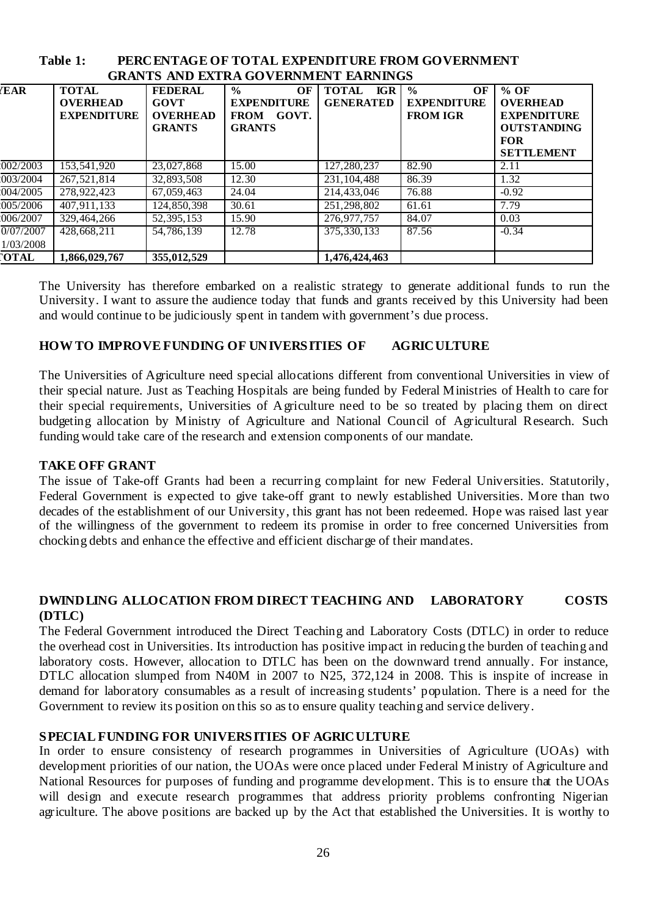| GRAN IS AND EATRA GO VERNMENT EARNINGS |                                                       |                                                            |                                                                                    |                                                |                                                              |                                                                                                          |  |  |  |  |
|----------------------------------------|-------------------------------------------------------|------------------------------------------------------------|------------------------------------------------------------------------------------|------------------------------------------------|--------------------------------------------------------------|----------------------------------------------------------------------------------------------------------|--|--|--|--|
| <b>EAR</b>                             | <b>TOTAL</b><br><b>OVERHEAD</b><br><b>EXPENDITURE</b> | <b>FEDERAL</b><br>GOVT<br><b>OVERHEAD</b><br><b>GRANTS</b> | $\frac{0}{0}$<br>OF<br><b>EXPENDITURE</b><br><b>FROM</b><br>GOVT.<br><b>GRANTS</b> | <b>TOTAL</b><br><b>IGR</b><br><b>GENERATED</b> | $\frac{0}{0}$<br>OF<br><b>EXPENDITURE</b><br><b>FROM IGR</b> | $%$ OF<br><b>OVERHEAD</b><br><b>EXPENDITURE</b><br><b>OUTSTANDING</b><br><b>FOR</b><br><b>SETTLEMENT</b> |  |  |  |  |
| 002/2003                               | 153,541,920                                           | 23,027,868                                                 | 15.00                                                                              | 127,280,237                                    | 82.90                                                        | 2.11                                                                                                     |  |  |  |  |
| 003/2004                               | 267,521,814                                           | 32,893,508                                                 | 12.30                                                                              | 231, 104, 488                                  | 86.39                                                        | 1.32                                                                                                     |  |  |  |  |
| 004/2005                               | 278,922,423                                           | 67,059,463                                                 | 24.04                                                                              | 214,433,046                                    | 76.88                                                        | $-0.92$                                                                                                  |  |  |  |  |
| 005/2006                               | 407.911.133                                           | 124,850,398                                                | 30.61                                                                              | 251.298.802                                    | 61.61                                                        | 7.79                                                                                                     |  |  |  |  |
| 006/2007                               | 329,464,266                                           | 52, 395, 153                                               | 15.90                                                                              | 276,977,757                                    | 84.07                                                        | 0.03                                                                                                     |  |  |  |  |
| 0/07/2007                              | 428.668.211                                           | 54,786,139                                                 | 12.78                                                                              | 375, 330, 133                                  | 87.56                                                        | $-0.34$                                                                                                  |  |  |  |  |
| 1/03/2008                              |                                                       |                                                            |                                                                                    |                                                |                                                              |                                                                                                          |  |  |  |  |
| <b>OTAL</b>                            | 1,866,029,767                                         | 355,012,529                                                |                                                                                    | 1,476,424,463                                  |                                                              |                                                                                                          |  |  |  |  |

#### **Table 1: PERCENTAGE OF TOTAL EXPENDITURE FROM GOVERNMENT GRANTS AND EXTRA GOVERNMENT EARNINGS**

The University has therefore embarked on a realistic strategy to generate additional funds to run the University. I want to assure the audience today that funds and grants received by this University had been and would continue to be judiciously spent in tandem with government's due process.

# **HOW TO IMPROVE FUNDING OF UNIVERSITIES OF AGRICULTURE**

The Universities of Agriculture need special allocations different from conventional Universities in view of their special nature. Just as Teaching Hospitals are being funded by Federal Ministries of Health to care for their special requirements, Universities of Agriculture need to be so treated by placing them on direct budgeting allocation by Ministry of Agriculture and National Council of Agricultural Research. Such funding would take care of the research and extension components of our mandate.

# **TAKE OFF GRANT**

The issue of Take-off Grants had been a recurring complaint for new Federal Universities. Statutorily, Federal Government is expected to give take-off grant to newly established Universities. More than two decades of the establishment of our University, this grant has not been redeemed. Hope was raised last year of the willingness of the government to redeem its promise in order to free concerned Universities from chocking debts and enhance the effective and efficient discharge of their mandates.

#### **DWINDLING ALLOCATION FROM DIRECT TEACHING AND LABORATORY COSTS (DTLC)**

The Federal Government introduced the Direct Teaching and Laboratory Costs (DTLC) in order to reduce the overhead cost in Universities. Its introduction has positive impact in reducing the burden of teaching and laboratory costs. However, allocation to DTLC has been on the downward trend annually. For instance, DTLC allocation slumped from N40M in 2007 to N25, 372,124 in 2008. This is inspite of increase in demand for laboratory consumables as a result of increasing students' population. There is a need for the Government to review its position on this so as to ensure quality teaching and service delivery.

# **SPECIAL FUNDING FOR UNIVERSITIES OF AGRICULTURE**

In order to ensure consistency of research programmes in Universities of Agriculture (UOAs) with development priorities of our nation, the UOAs were once placed under Federal Ministry of Agriculture and National Resources for purposes of funding and programme development. This is to ensure that the UOAs will design and execute research programmes that address priority problems confronting Nigerian agriculture. The above positions are backed up by the Act that established the Universities. It is worthy to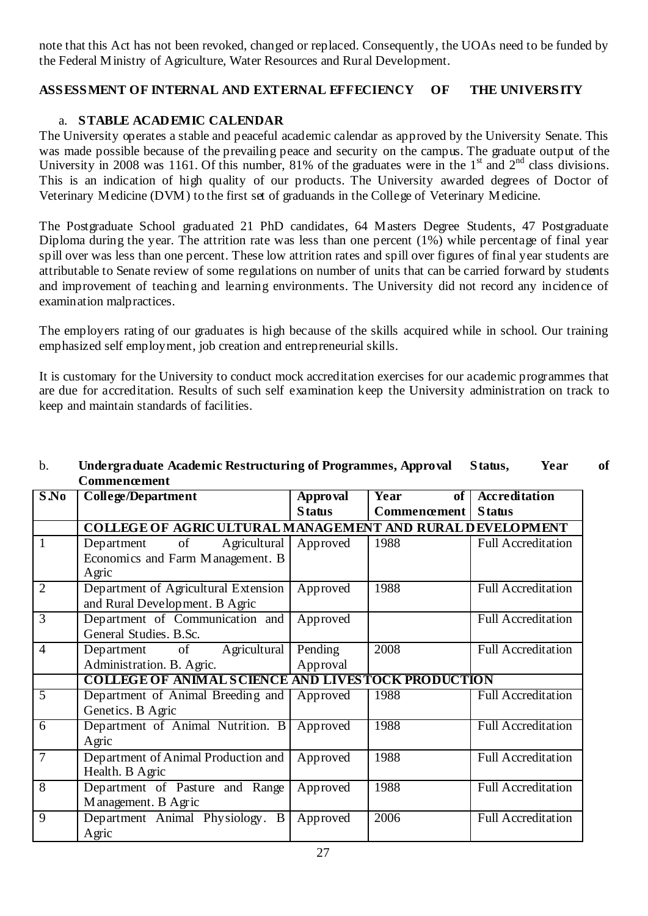note that this Act has not been revoked, changed or replaced. Consequently, the UOAs need to be funded by the Federal Ministry of Agriculture, Water Resources and Rural Development.

# **ASSESSMENT OF INTERNAL AND EXTERNAL EFFECIENCY OF THE UNIVERSITY**

# a. **STABLE ACADEMIC CALENDAR**

The University operates a stable and peaceful academic calendar as approved by the University Senate. This was made possible because of the prevailing peace and security on the campus. The graduate output of the University in 2008 was 1161. Of this number, 81% of the graduates were in the 1<sup>st</sup> and  $2<sup>nd</sup>$  class divisions. This is an indication of high quality of our products. The University awarded degrees of Doctor of Veterinary Medicine (DVM) to the first set of graduands in the College of Veterinary Medicine.

The Postgraduate School graduated 21 PhD candidates, 64 Masters Degree Students, 47 Postgraduate Diploma during the year. The attrition rate was less than one percent (1%) while percentage of final year spill over was less than one percent. These low attrition rates and spill over figures of final year students are attributable to Senate review of some regulations on number of units that can be carried forward by students and improvement of teaching and learning environments. The University did not record any incidence of examination malpractices.

The employers rating of our graduates is high because of the skills acquired while in school. Our training emphasized self employment, job creation and entrepreneurial skills.

It is customary for the University to conduct mock accreditation exercises for our academic programmes that are due for accreditation. Results of such self examination keep the University administration on track to keep and maintain standards of facilities.

| S.No           | <b>College/Department</b>                                       | Approval      | $\overline{\text{Year}}$<br>of <sub>1</sub> | <b>Accreditation</b>      |
|----------------|-----------------------------------------------------------------|---------------|---------------------------------------------|---------------------------|
|                |                                                                 | <b>Status</b> | Commencement                                | <b>Status</b>             |
|                | <b>COLLEGE OF AGRICULTURAL MANAGEMENT AND RURAL DEVELOPMENT</b> |               |                                             |                           |
| 1              | Agricultural<br>Department<br>of                                | Approved      | 1988                                        | <b>Full Accreditation</b> |
|                | Economics and Farm Management. B                                |               |                                             |                           |
|                | Agric                                                           |               |                                             |                           |
| $\overline{2}$ | Department of Agricultural Extension                            | Approved      | 1988                                        | <b>Full Accreditation</b> |
|                | and Rural Development. B Agric                                  |               |                                             |                           |
| 3              | Department of Communication and                                 | Approved      |                                             | <b>Full Accreditation</b> |
|                | General Studies, B.Sc.                                          |               |                                             |                           |
| $\overline{4}$ | Agricultural<br>Department of                                   | Pending       | 2008                                        | <b>Full Accreditation</b> |
|                | Administration. B. Agric.                                       | Approval      |                                             |                           |
|                | <b>COLLEGE OF ANIMAL SCIENCE AND LIVES TOCK PRODUCTION</b>      |               |                                             |                           |
| 5              | Department of Animal Breeding and                               | Approved      | 1988                                        | <b>Full Accreditation</b> |
|                | Genetics. B Agric                                               |               |                                             |                           |
| 6              | Department of Animal Nutrition. B                               | Approved      | 1988                                        | <b>Full Accreditation</b> |
|                | Agric                                                           |               |                                             |                           |
| 7              | Department of Animal Production and                             | Approved      | 1988                                        | <b>Full Accreditation</b> |
|                | Health. B Agric                                                 |               |                                             |                           |
| 8              | Department of Pasture and Range                                 | Approved      | 1988                                        | <b>Full Accreditation</b> |
|                | Management. B Agric                                             |               |                                             |                           |
| 9              | Department Animal Physiology.<br>B                              | Approved      | 2006                                        | <b>Full Accreditation</b> |
|                | Agric                                                           |               |                                             |                           |

# b. **Undergraduate Academic Restructuring of Programmes, Approval Status, Year of Commencement**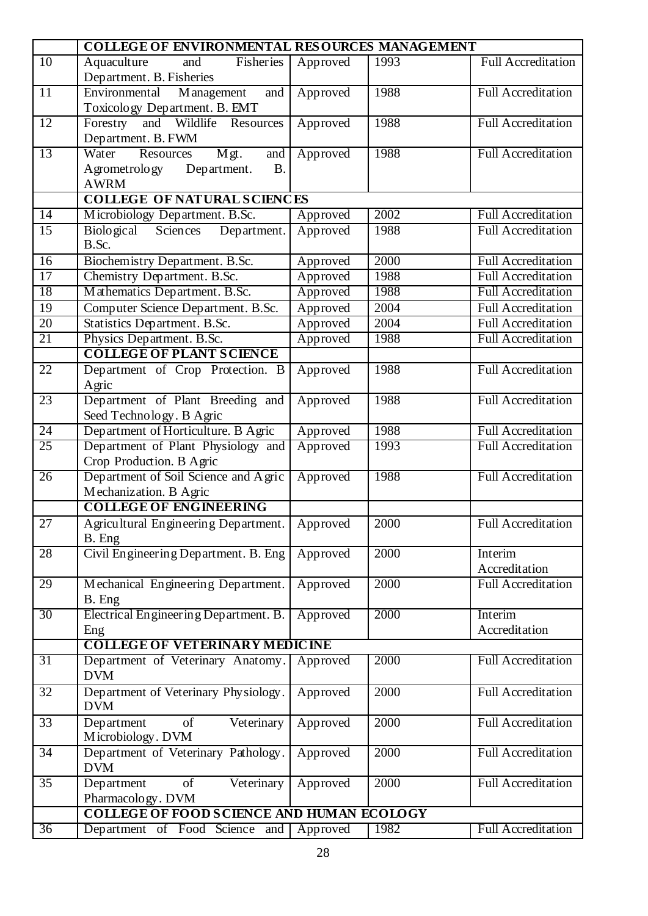|                 | <b>COLLEGE OF ENVIRONMENTAL RESOURCES MANAGEMENT</b> |          |      |                           |  |  |  |  |  |  |
|-----------------|------------------------------------------------------|----------|------|---------------------------|--|--|--|--|--|--|
| 10              | Fisheries<br>Aquaculture<br>and                      | Approved | 1993 | <b>Full Accreditation</b> |  |  |  |  |  |  |
|                 | Department. B. Fisheries                             |          |      |                           |  |  |  |  |  |  |
| 11              | Environmental<br>M anagement<br>and                  | Approved | 1988 | <b>Full Accreditation</b> |  |  |  |  |  |  |
|                 | Toxicology Department. B. EMT                        |          |      |                           |  |  |  |  |  |  |
| 12              | Forestry<br>and<br>Wildlife Resources                | Approved | 1988 | <b>Full Accreditation</b> |  |  |  |  |  |  |
|                 | Department. B. FWM                                   |          |      |                           |  |  |  |  |  |  |
| 13              | Water<br>Resources<br>Mgt.<br>and                    | Approved | 1988 | <b>Full Accreditation</b> |  |  |  |  |  |  |
|                 | Agrometrology<br>Department.<br><b>B.</b>            |          |      |                           |  |  |  |  |  |  |
|                 | <b>AWRM</b>                                          |          |      |                           |  |  |  |  |  |  |
|                 | <b>COLLEGE OF NATURAL SCIENCES</b>                   |          | 2002 |                           |  |  |  |  |  |  |
| $\overline{14}$ | Microbiology Department. B.Sc.                       | Approved |      | <b>Full Accreditation</b> |  |  |  |  |  |  |
| 15              | <b>Biological</b><br>Sciences Department.<br>B.Sc.   | Approved | 1988 | <b>Full Accreditation</b> |  |  |  |  |  |  |
| 16              | Biochemistry Department. B.Sc.                       | Approved | 2000 | <b>Full Accreditation</b> |  |  |  |  |  |  |
| $\overline{17}$ | Chemistry Department. B.Sc.                          | Approved | 1988 | <b>Full Accreditation</b> |  |  |  |  |  |  |
| 18              | Mathematics Department. B.Sc.                        | Approved | 1988 | <b>Full Accreditation</b> |  |  |  |  |  |  |
| 19              | Computer Science Department. B.Sc.                   | Approved | 2004 | Full Accreditation        |  |  |  |  |  |  |
| 20              | Statistics Department. B.Sc.                         | Approved | 2004 | <b>Full Accreditation</b> |  |  |  |  |  |  |
| 21              | Physics Department. B.Sc.                            | Approved | 1988 | <b>Full Accreditation</b> |  |  |  |  |  |  |
|                 | <b>COLLEGE OF PLANT SCIENCE</b>                      |          |      |                           |  |  |  |  |  |  |
| 22              | Department of Crop Protection. B                     | Approved | 1988 | <b>Full Accreditation</b> |  |  |  |  |  |  |
|                 | Agric                                                |          |      |                           |  |  |  |  |  |  |
| 23              | Department of Plant Breeding and                     | Approved | 1988 | <b>Full Accreditation</b> |  |  |  |  |  |  |
|                 | Seed Technology. B Agric                             |          |      |                           |  |  |  |  |  |  |
| 24              | Department of Horticulture. B Agric                  | Approved | 1988 | <b>Full Accreditation</b> |  |  |  |  |  |  |
| 25              | Department of Plant Physiology and                   | Approved | 1993 | <b>Full Accreditation</b> |  |  |  |  |  |  |
|                 | Crop Production. B Agric                             |          |      |                           |  |  |  |  |  |  |
| 26              | Department of Soil Science and Agric                 | Approved | 1988 | <b>Full Accreditation</b> |  |  |  |  |  |  |
|                 | Mechanization. B Agric                               |          |      |                           |  |  |  |  |  |  |
|                 | <b>COLLEGE OF ENGINEERING</b>                        |          |      |                           |  |  |  |  |  |  |
| 27              | Agricultural Engineering Department.                 | Approved | 2000 | <b>Full Accreditation</b> |  |  |  |  |  |  |
|                 | B. Eng                                               |          |      |                           |  |  |  |  |  |  |
| 28              | Civil Engineering Department. B. Eng                 | Approved | 2000 | Interim                   |  |  |  |  |  |  |
|                 |                                                      |          |      | Accreditation             |  |  |  |  |  |  |
| 29              | Mechanical Engineering Department.                   | Approved | 2000 | <b>Full Accreditation</b> |  |  |  |  |  |  |
|                 | B. Eng                                               |          |      |                           |  |  |  |  |  |  |
| 30              | Electrical Engineering Department. B.                | Approved | 2000 | Interim                   |  |  |  |  |  |  |
|                 | Eng<br><b>COLLEGE OF VETERINARY MEDICINE</b>         |          |      | Accreditation             |  |  |  |  |  |  |
| 31              | Department of Veterinary Anatomy.                    | Approved | 2000 | <b>Full Accreditation</b> |  |  |  |  |  |  |
|                 | <b>DVM</b>                                           |          |      |                           |  |  |  |  |  |  |
| 32              | Department of Veterinary Physiology.                 | Approved | 2000 | <b>Full Accreditation</b> |  |  |  |  |  |  |
|                 | <b>DVM</b>                                           |          |      |                           |  |  |  |  |  |  |
| 33              | Veterinary<br>Department<br>of                       | Approved | 2000 | <b>Full Accreditation</b> |  |  |  |  |  |  |
|                 | Microbiology. DVM                                    |          |      |                           |  |  |  |  |  |  |
| 34              | Department of Veterinary Pathology.                  | Approved | 2000 | <b>Full Accreditation</b> |  |  |  |  |  |  |
|                 | <b>DVM</b>                                           |          |      |                           |  |  |  |  |  |  |
| 35              | Veterinary<br>Department<br>of                       | Approved | 2000 | <b>Full Accreditation</b> |  |  |  |  |  |  |
|                 | Pharmacology. DVM                                    |          |      |                           |  |  |  |  |  |  |
|                 | <b>COLLEGE OF FOOD SCIENCE AND HUMAN ECOLOGY</b>     |          |      |                           |  |  |  |  |  |  |
| $\overline{36}$ | Department of Food Science and                       | Approved | 1982 | <b>Full Accreditation</b> |  |  |  |  |  |  |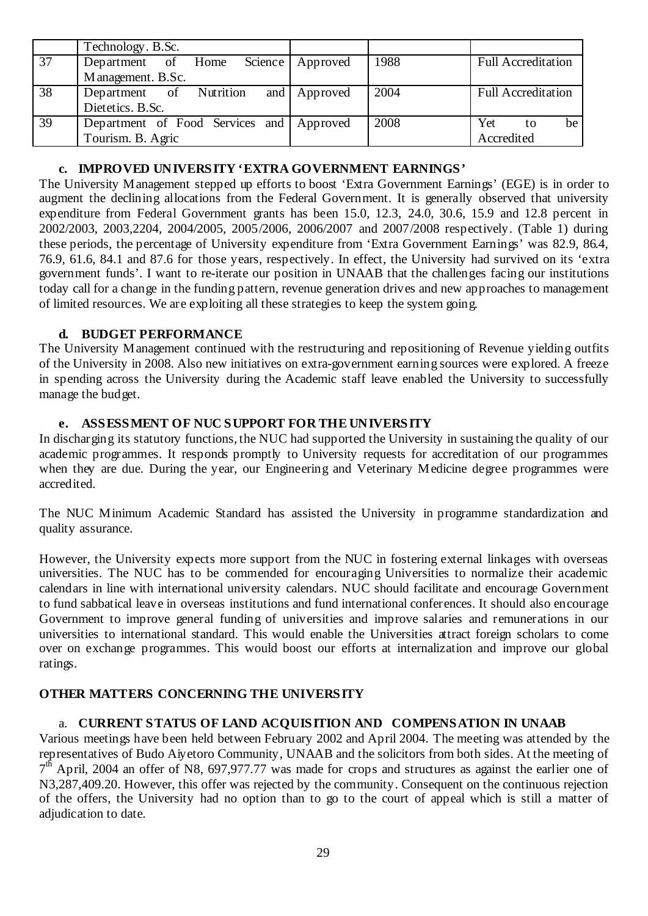|                 | Technology. B.Sc.               |                    |      |                           |
|-----------------|---------------------------------|--------------------|------|---------------------------|
| 37              | Department of Home              | Science   Approved | 1988 | <b>Full Accreditation</b> |
|                 | Management. B.Sc.               |                    |      |                           |
| $\overline{38}$ | Department of Nutrition         | and Approved       | 2004 | <b>Full Accreditation</b> |
|                 | Dietetics. B.Sc.                |                    |      |                           |
| 39              | Department of Food Services and | Approved           | 2008 | Yet<br>be<br>to           |
|                 | Tourism. B. Agric               |                    |      | Accredited                |

# **c. IMPROVED UNIVERSITY 'EXTRA GOVERNMENT EARNINGS'**

The University Management stepped up efforts to boost 'Extra Government Earnings' (EGE) is in order to augment the declining allocations from the Federal Government. It is generally observed that university expenditure from Federal Government grants has been 15.0, 12.3, 24.0, 30.6, 15.9 and 12.8 percent in 2002/2003, 2003,2204, 2004/2005, 2005/2006, 2006/2007 and 2007/2008 respectively. (Table 1) during these periods, the percentage of University expenditure from 'Extra Government Earnings' was 82.9, 86.4, 76.9, 61.6, 84.1 and 87.6 for those years, respectively. In effect, the University had survived on its 'extra government funds'. I want to re-iterate our position in UNAAB that the challenges facing our institutions today call for a change in the funding pattern, revenue generation drives and new approaches to management of limited resources. We are exploiting all these strategies to keep the system going.

# **d. BUDGET PERFORMANCE**

The University Management continued with the restructuring and repositioning of Revenue yielding outfits of the University in 2008. Also new initiatives on extra-government earning sources were explored. A freeze in spending across the University during the Academic staff leave enabled the University to successfully manage the budget.

# **e. ASSESSMENT OF NUC SUPPORT FOR THE UNIVERSITY**

In discharging its statutory functions, the NUC had supported the University in sustaining the quality of our academic programmes. It responds promptly to University requests for accreditation of our programmes when they are due. During the year, our Engineering and Veterinary Medicine degree programmes were accredited.

The NUC Minimum Academic Standard has assisted the University in programme standardization and quality assurance.

However, the University expects more support from the NUC in fostering external linkages with overseas universities. The NUC has to be commended for encouraging Universities to normalize their academic calendars in line with international university calendars. NUC should facilitate and encourage Government to fund sabbatical leave in overseas institutions and fund international conferences. It should also encourage Government to improve general funding of universities and improve salaries and remunerations in our universities to international standard. This would enable the Universities attract foreign scholars to come over on exchange programmes. This would boost our efforts at internalization and improve our global ratings.

# **OTHER MATTERS CONCERNING THE UNIVERSITY**

# a. **CURRENT STATUS OF LAND ACQUISITION AND COMPENSATION IN UNAAB**

Various meetings have been held between February 2002 and April 2004. The meeting was attended by the representatives of Budo Aiyetoro Community, UNAAB and the solicitors from both sides. At the meeting of  $7<sup>th</sup>$  April, 2004 an offer of N8, 697,977.77 was made for crops and structures as against the earlier one of N3,287,409.20. However, this offer was rejected by the community. Consequent on the continuous rejection of the offers, the University had no option than to go to the court of appeal which is still a matter of adjudication to date.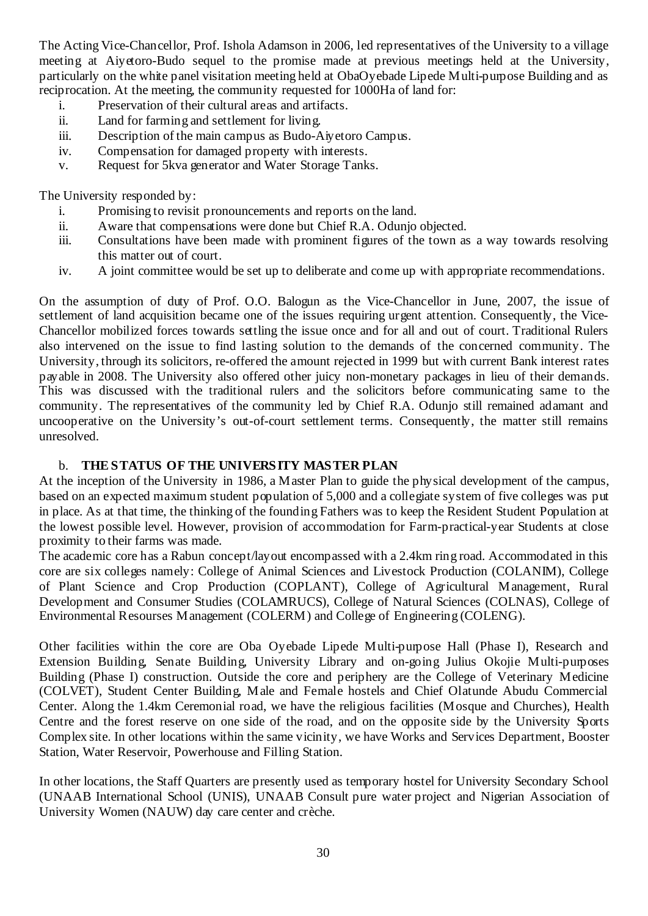The Acting Vice-Chancellor, Prof. Ishola Adamson in 2006, led representatives of the University to a village meeting at Aiyetoro-Budo sequel to the promise made at previous meetings held at the University, particularly on the white panel visitation meeting held at ObaOyebade Lipede Multi-purpose Building and as reciprocation. At the meeting, the community requested for 1000Ha of land for:

- i. Preservation of their cultural areas and artifacts.
- ii. Land for farming and settlement for living.
- iii. Description of the main campus as Budo-Aiyetoro Campus.
- iv. Compensation for damaged property with interests.
- v. Request for 5kva generator and Water Storage Tanks.

The University responded by:

- i. Promising to revisit pronouncements and reports on the land.
- ii. Aware that compensations were done but Chief R.A. Odunjo objected.
- iii. Consultations have been made with prominent figures of the town as a way towards resolving this matter out of court.
- iv. A joint committee would be set up to deliberate and come up with appropriate recommendations.

On the assumption of duty of Prof. O.O. Balogun as the Vice-Chancellor in June, 2007, the issue of settlement of land acquisition became one of the issues requiring urgent attention. Consequently, the Vice-Chancellor mobilized forces towards settling the issue once and for all and out of court. Traditional Rulers also intervened on the issue to find lasting solution to the demands of the concerned community. The University, through its solicitors, re-offered the amount rejected in 1999 but with current Bank interest rates payable in 2008. The University also offered other juicy non-monetary packages in lieu of their demands. This was discussed with the traditional rulers and the solicitors before communicating same to the community. The representatives of the community led by Chief R.A. Odunjo still remained adamant and uncooperative on the University's out-of-court settlement terms. Consequently, the matter still remains unresolved.

#### b. **THE STATUS OF THE UNIVERSITY MASTER PLAN**

At the inception of the University in 1986, a Master Plan to guide the physical development of the campus, based on an expected maximum student population of 5,000 and a collegiate system of five colleges was put in place. As at that time, the thinking of the founding Fathers was to keep the Resident Student Population at the lowest possible level. However, provision of accommodation for Farm-practical-year Students at close proximity to their farms was made.

The academic core has a Rabun concept/layout encompassed with a 2.4km ring road. Accommodated in this core are six colleges namely: College of Animal Sciences and Livestock Production (COLANIM), College of Plant Science and Crop Production (COPLANT), College of Agricultural Management, Rural Development and Consumer Studies (COLAMRUCS), College of Natural Sciences (COLNAS), College of Environmental Resourses Management (COLERM) and College of Engineering (COLENG).

Other facilities within the core are Oba Oyebade Lipede Multi-purpose Hall (Phase I), Research and Extension Building, Senate Building, University Library and on-going Julius Okojie Multi-purposes Building (Phase I) construction. Outside the core and periphery are the College of Veterinary Medicine (COLVET), Student Center Building, Male and Female hostels and Chief Olatunde Abudu Commercial Center. Along the 1.4km Ceremonial road, we have the religious facilities (Mosque and Churches), Health Centre and the forest reserve on one side of the road, and on the opposite side by the University Sports Complex site. In other locations within the same vicinity, we have Works and Services Department, Booster Station, Water Reservoir, Powerhouse and Filling Station.

In other locations, the Staff Quarters are presently used as temporary hostel for University Secondary School (UNAAB International School (UNIS), UNAAB Consult pure water project and Nigerian Association of University Women (NAUW) day care center and crèche.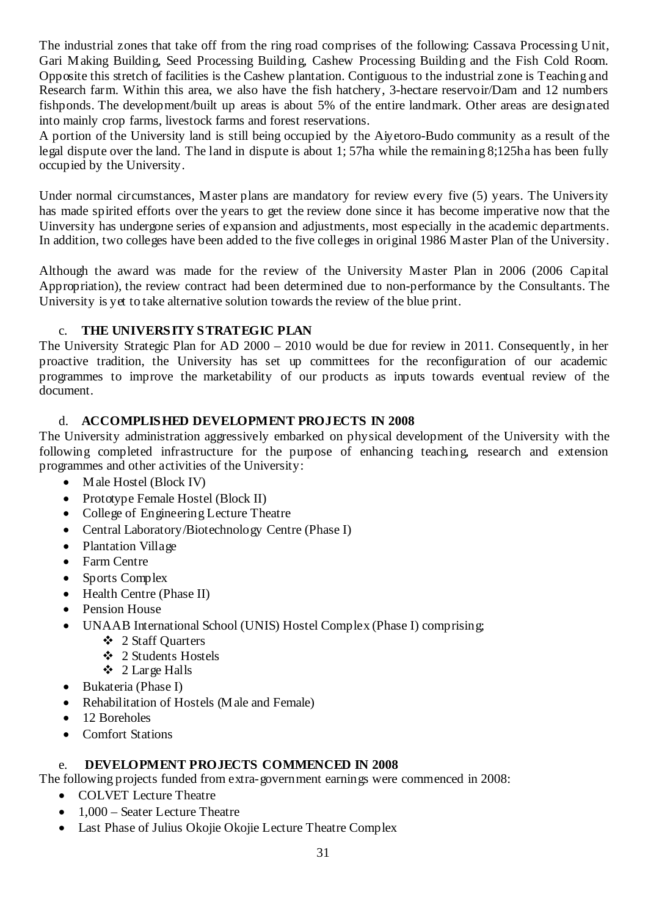The industrial zones that take off from the ring road comprises of the following: Cassava Processing Unit, Gari Making Building, Seed Processing Building, Cashew Processing Building and the Fish Cold Room. Opposite this stretch of facilities is the Cashew plantation. Contiguous to the industrial zone is Teaching and Research farm. Within this area, we also have the fish hatchery, 3-hectare reservoir/Dam and 12 numbers fishponds. The development/built up areas is about 5% of the entire landmark. Other areas are designated into mainly crop farms, livestock farms and forest reservations.

A portion of the University land is still being occupied by the Aiyetoro-Budo community as a result of the legal dispute over the land. The land in dispute is about 1; 57ha while the remaining 8;125ha has been fully occupied by the University.

Under normal circumstances, Master plans are mandatory for review every five (5) years. The University has made spirited efforts over the years to get the review done since it has become imperative now that the Uinversity has undergone series of expansion and adjustments, most especially in the academic departments. In addition, two colleges have been added to the five colleges in original 1986 Master Plan of the University.

Although the award was made for the review of the University Master Plan in 2006 (2006 Capital Appropriation), the review contract had been determined due to non-performance by the Consultants. The University is yet to take alternative solution towards the review of the blue print.

# c. **THE UNIVERSITY STRATEGIC PLAN**

The University Strategic Plan for AD 2000 – 2010 would be due for review in 2011. Consequently, in her proactive tradition, the University has set up committees for the reconfiguration of our academic programmes to improve the marketability of our products as inputs towards eventual review of the document.

# d. **ACCOMPLISHED DEVELOPMENT PROJECTS IN 2008**

The University administration aggressively embarked on physical development of the University with the following completed infrastructure for the purpose of enhancing teaching, research and extension programmes and other activities of the University:

- Male Hostel (Block IV)
- Prototype Female Hostel (Block II)
- College of Engineering Lecture Theatre
- Central Laboratory/Biotechnology Centre (Phase I)
- Plantation Village
- Farm Centre
- Sports Complex
- Health Centre (Phase II)
- Pension House
- UNAAB International School (UNIS) Hostel Complex (Phase I) comprising;
	- 2 Staff Quarters
	- 2 Students Hostels
	- 2 Large Halls
- Bukateria (Phase I)
- Rehabilitation of Hostels (Male and Female)
- 12 Boreholes
- Comfort Stations

# e. **DEVELOPMENT PROJECTS COMMENCED IN 2008**

The following projects funded from extra-government earnings were commenced in 2008:

- COLVET Lecture Theatre
- 1,000 Seater Lecture Theatre
- Last Phase of Julius Okojie Okojie Lecture Theatre Complex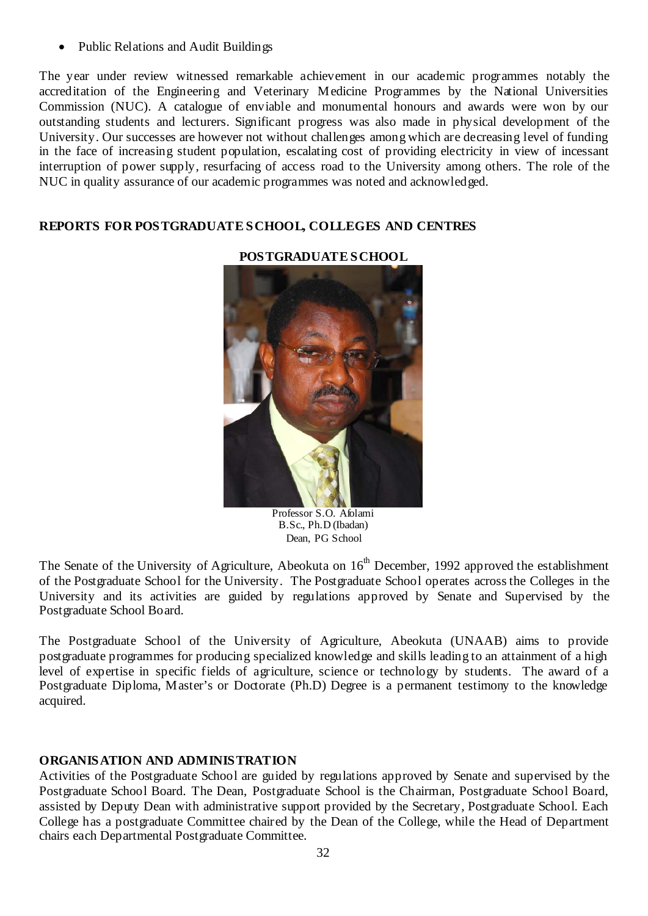• Public Relations and Audit Buildings

The year under review witnessed remarkable achievement in our academic programmes notably the accreditation of the Engineering and Veterinary Medicine Programmes by the National Universities Commission (NUC). A catalogue of enviable and monumental honours and awards were won by our outstanding students and lecturers. Significant progress was also made in physical development of the University. Our successes are however not without challenges among which are decreasing level of funding in the face of increasing student population, escalating cost of providing electricity in view of incessant interruption of power supply, resurfacing of access road to the University among others. The role of the NUC in quality assurance of our academic programmes was noted and acknowledged.

# **REPORTS FOR POSTGRADUATE SCHOOL, COLLEGES AND CENTRES**



#### **POSTGRADUATE SCHOOL**

Professor S.O. Afolami B.Sc., Ph.D (Ibadan) Dean, PG School

The Senate of the University of Agriculture, Abeokuta on 16<sup>th</sup> December, 1992 approved the establishment of the Postgraduate School for the University. The Postgraduate School operates across the Colleges in the University and its activities are guided by regulations approved by Senate and Supervised by the Postgraduate School Board.

The Postgraduate School of the University of Agriculture, Abeokuta (UNAAB) aims to provide postgraduate programmes for producing specialized knowledge and skills leading to an attainment of a high level of expertise in specific fields of agriculture, science or technology by students. The award of a Postgraduate Diploma, Master's or Doctorate (Ph.D) Degree is a permanent testimony to the knowledge acquired.

# **ORGANISATION AND ADMINISTRATION**

Activities of the Postgraduate School are guided by regulations approved by Senate and supervised by the Postgraduate School Board. The Dean, Postgraduate School is the Chairman, Postgraduate School Board, assisted by Deputy Dean with administrative support provided by the Secretary, Postgraduate School. Each College has a postgraduate Committee chaired by the Dean of the College, while the Head of Department chairs each Departmental Postgraduate Committee.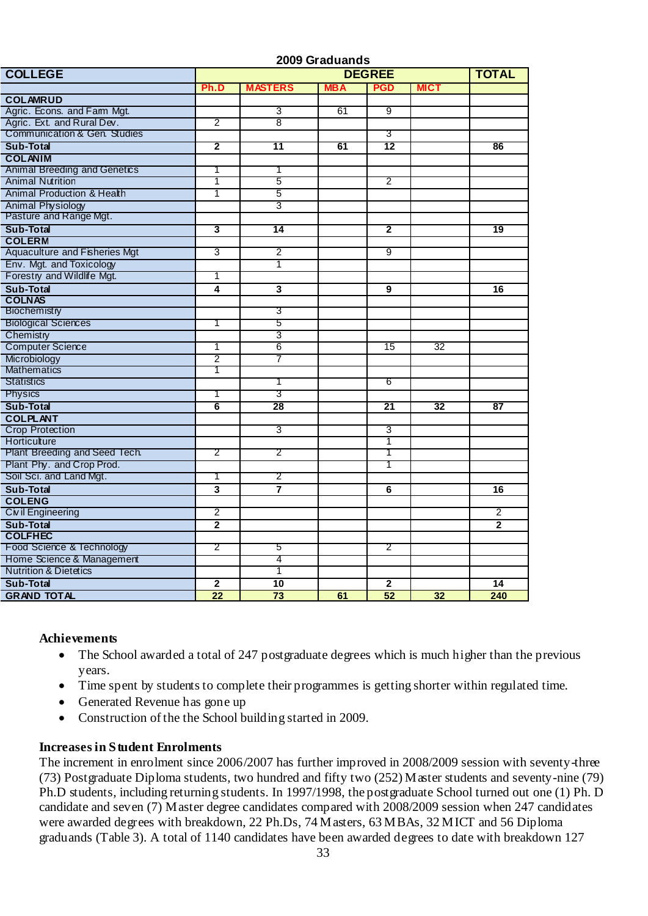|                                     | 2009 Graduands          |                         |            |                 |                 |                 |  |  |
|-------------------------------------|-------------------------|-------------------------|------------|-----------------|-----------------|-----------------|--|--|
| <b>COLLEGE</b>                      |                         | <b>TOTAL</b>            |            |                 |                 |                 |  |  |
|                                     | Ph.D                    | <b>MASTERS</b>          | <b>MBA</b> | <b>PGD</b>      | <b>MICT</b>     |                 |  |  |
| <b>COLAMRUD</b>                     |                         |                         |            |                 |                 |                 |  |  |
| Agric. Econs. and Farm Mgt.         |                         | 3                       | 61         | 9               |                 |                 |  |  |
| Agric. Ext. and Rural Dev.          | 2                       | g                       |            |                 |                 |                 |  |  |
| Communication & Gen. Studies        |                         |                         |            | 3               |                 |                 |  |  |
| Sub-Total                           | $\overline{\mathbf{2}}$ | 11                      | 61         | 12              |                 | 86              |  |  |
| <b>COLANIM</b>                      |                         |                         |            |                 |                 |                 |  |  |
| <b>Animal Breeding and Genetics</b> | 1                       | 1                       |            |                 |                 |                 |  |  |
| <b>Animal Nutrition</b>             | 1                       | 5                       |            | 2               |                 |                 |  |  |
| Animal Production & Health          | 1                       | 5                       |            |                 |                 |                 |  |  |
| <b>Animal Physiology</b>            |                         | 3                       |            |                 |                 |                 |  |  |
| Pasture and Range Mgt.              |                         |                         |            |                 |                 |                 |  |  |
| <b>Sub-Total</b>                    | 3                       | 14                      |            | $\mathbf{2}$    |                 | 19              |  |  |
| <b>COLERM</b>                       |                         |                         |            |                 |                 |                 |  |  |
| Aquaculture and Fisheries Mgt       | 3                       | $\overline{2}$          |            | 9               |                 |                 |  |  |
| Env. Mgt. and Toxicology            |                         | 1                       |            |                 |                 |                 |  |  |
| Forestry and Wildlife Mgt.          | 1                       |                         |            |                 |                 |                 |  |  |
| Sub-Total                           | 4                       | $\overline{\mathbf{3}}$ |            | 9               |                 | 16              |  |  |
| <b>COLNAS</b>                       |                         |                         |            |                 |                 |                 |  |  |
| Biochemistry                        |                         | 3                       |            |                 |                 |                 |  |  |
| <b>Biological Sciences</b>          | 1                       | 5                       |            |                 |                 |                 |  |  |
| Chemistry                           |                         | 3                       |            |                 |                 |                 |  |  |
| <b>Computer Science</b>             | 1                       | 6                       |            | 15              | 32              |                 |  |  |
| Microbiology                        | 2                       | 7                       |            |                 |                 |                 |  |  |
| <b>Mathematics</b>                  | Τ                       |                         |            |                 |                 |                 |  |  |
| <b>Statistics</b>                   |                         | T                       |            | 6               |                 |                 |  |  |
| Physics                             | 1                       | 3                       |            |                 |                 |                 |  |  |
| Sub-Total                           | 6                       | $\overline{28}$         |            | $\overline{21}$ | $\overline{32}$ | $\overline{87}$ |  |  |
| <b>COLPLANT</b>                     |                         |                         |            |                 |                 |                 |  |  |
| <b>Crop Protection</b>              |                         | 3                       |            | $\overline{3}$  |                 |                 |  |  |
| Horticulture                        |                         |                         |            | 1               |                 |                 |  |  |
| Plant Breeding and Seed Tech.       | 2                       | 2                       |            | 1               |                 |                 |  |  |
| Plant Phy. and Crop Prod.           |                         |                         |            | T               |                 |                 |  |  |
| Soil Sci. and Land Mgt.             | 1                       | 2                       |            |                 |                 |                 |  |  |
| <b>Sub-Total</b>                    | 3                       | 7                       |            | 6               |                 | 16              |  |  |
| <b>COLENG</b>                       |                         |                         |            |                 |                 |                 |  |  |
| Civil Engineering                   | 2                       |                         |            |                 |                 | 2               |  |  |
| Sub-Total                           | $\mathbf 2$             |                         |            |                 |                 | $\overline{2}$  |  |  |
| <b>COLFHEC</b>                      |                         |                         |            |                 |                 |                 |  |  |
| Food Science & Technology           | 2                       | 5                       |            | 2               |                 |                 |  |  |
| Home Science & Management           |                         | 4                       |            |                 |                 |                 |  |  |
| <b>Nutrition &amp; Dietetics</b>    |                         | T                       |            |                 |                 |                 |  |  |
| Sub-Total                           | $\mathbf{2}$            | 10                      |            | $\mathbf{2}$    |                 | 14              |  |  |
| <b>GRAND TOTAL</b>                  | $\overline{22}$         | $\overline{73}$         | 61         | $\overline{52}$ | 32              | 240             |  |  |

# **Achievements**

- The School awarded a total of 247 postgraduate degrees which is much higher than the previous years.
- Time spent by students to complete their programmes is getting shorter within regulated time.
- Generated Revenue has gone up
- Construction of the the School building started in 2009.

#### **Increases in Student Enrolments**

The increment in enrolment since 2006/2007 has further improved in 2008/2009 session with seventy-three (73) Postgraduate Diploma students, two hundred and fifty two (252) Master students and seventy-nine (79) Ph.D students, including returning students. In 1997/1998, the postgraduate School turned out one (1) Ph. D candidate and seven (7) Master degree candidates compared with 2008/2009 session when 247 candidates were awarded degrees with breakdown, 22 Ph.Ds, 74 Masters, 63 MBAs, 32 MICT and 56 Diploma graduands (Table 3). A total of 1140 candidates have been awarded degrees to date with breakdown 127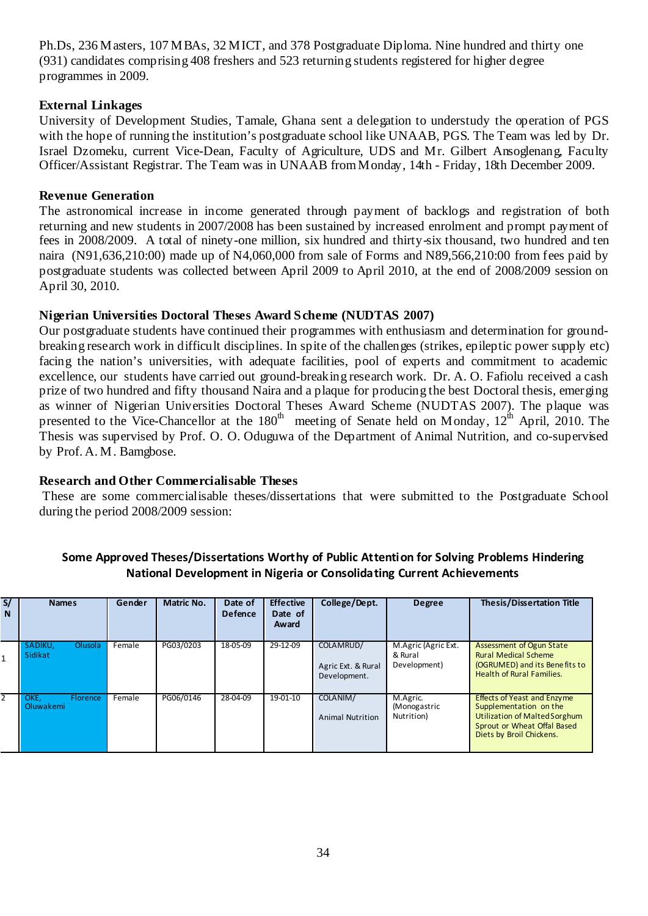Ph.Ds, 236 Masters, 107 MBAs, 32 MICT, and 378 Postgraduate Diploma. Nine hundred and thirty one (931) candidates comprising 408 freshers and 523 returning students registered for higher degree programmes in 2009.

#### **External Linkages**

University of Development Studies, Tamale, Ghana sent a delegation to understudy the operation of PGS with the hope of running the institution's postgraduate school like UNAAB, PGS. The Team was led by Dr. Israel Dzomeku, current Vice-Dean, Faculty of Agriculture, UDS and Mr. Gilbert Ansoglenang, Faculty Officer/Assistant Registrar. The Team was in UNAAB from Monday, 14th - Friday, 18th December 2009.

#### **Revenue Generation**

The astronomical increase in income generated through payment of backlogs and registration of both returning and new students in 2007/2008 has been sustained by increased enrolment and prompt payment of fees in 2008/2009. A total of ninety-one million, six hundred and thirty-six thousand, two hundred and ten naira (N91,636,210:00) made up of N4,060,000 from sale of Forms and N89,566,210:00 from fees paid by postgraduate students was collected between April 2009 to April 2010, at the end of 2008/2009 session on April 30, 2010.

#### **Nigerian Universities Doctoral Theses Award Scheme (NUDTAS 2007)**

Our postgraduate students have continued their programmes with enthusiasm and determination for groundbreaking research work in difficult disciplines. In spite of the challenges (strikes, epileptic power supply etc) facing the nation's universities, with adequate facilities, pool of experts and commitment to academic excellence, our students have carried out ground-breaking research work. Dr. A. O. Fafiolu received a cash prize of two hundred and fifty thousand Naira and a plaque for producing the best Doctoral thesis, emerging as winner of Nigerian Universities Doctoral Theses Award Scheme (NUDTAS 2007). The plaque was presented to the Vice-Chancellor at the 180<sup>th</sup> meeting of Senate held on Monday, 12<sup>th</sup> April, 2010. The Thesis was supervised by Prof. O. O. Oduguwa of the Department of Animal Nutrition, and co-supervised by Prof. A. M. Bamgbose.

#### **Research and Other Commercialisable Theses**

 These are some commercialisable theses/dissertations that were submitted to the Postgraduate School during the period 2008/2009 session:

| S/<br>N | <b>Names</b>                         | Gender | Matric No. | Date of<br><b>Defence</b> | <b>Effective</b><br>Date of<br>Award | College/Dept.                                   | <b>Degree</b>                                  | <b>Thesis/Dissertation Title</b>                                                                                                                                |
|---------|--------------------------------------|--------|------------|---------------------------|--------------------------------------|-------------------------------------------------|------------------------------------------------|-----------------------------------------------------------------------------------------------------------------------------------------------------------------|
|         | SADIKU.<br>Olusola<br>Sidikat        | Female | PG03/0203  | 18-05-09                  | 29-12-09                             | COLAMRUD/<br>Agric Ext. & Rural<br>Development. | M.Agric (Agric Ext.<br>& Rural<br>Development) | Assessment of Ogun State<br><b>Rural Medical Scheme</b><br>(OGRUMED) and its Benefits to<br><b>Health of Rural Families.</b>                                    |
|         | OKE.<br><b>Florence</b><br>Oluwakemi | Female | PG06/0146  | 28-04-09                  | 19-01-10                             | COLANIM/<br><b>Animal Nutrition</b>             | M.Agric.<br>(Monogastric<br>Nutrition)         | <b>Effects of Yeast and Enzyme</b><br>Supplementation on the<br><b>Utilization of Malted Sorghum</b><br>Sprout or Wheat Offal Based<br>Diets by Broil Chickens. |

#### **Some Approved Theses/Dissertations Worthy of Public Attention for Solving Problems Hindering National Development in Nigeria or Consolida ting Current Achievements**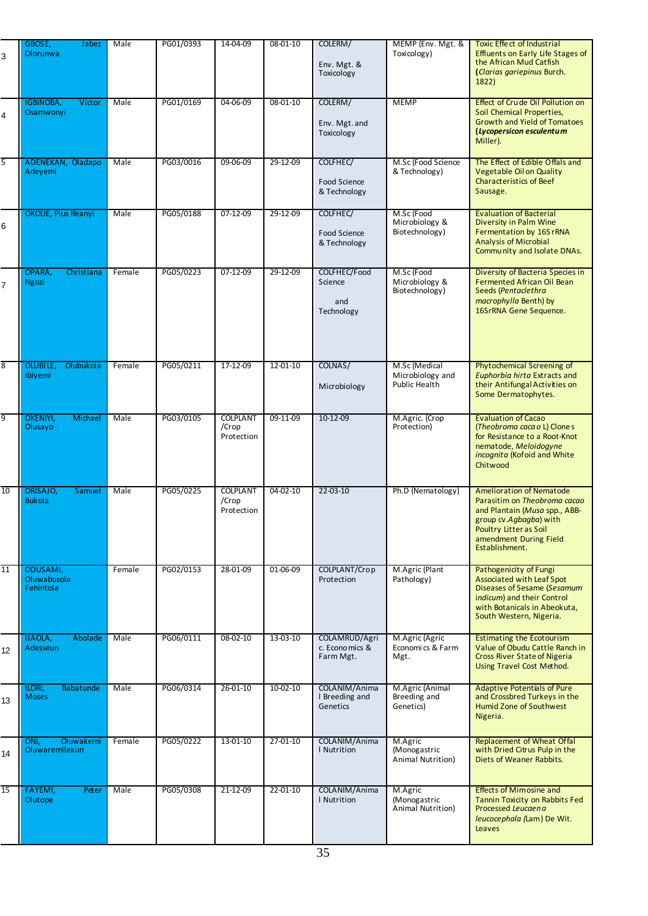| 3              | GBOSE,<br>Jabez<br><b>Olorunwa</b>         | Male   | PG01/0393 | 14-04-09                               | 08-01-10       | COLERM/<br>Env. Mgt. &<br>Toxicology         | MEMP (Env. Mgt. &<br>Toxicology)                   | Toxic Effect of Industrial<br><b>Effluents on Early Life Stages of</b><br>the African Mud Catfish<br>(Clarias gariepinus Burch.<br>1822)                                                         |
|----------------|--------------------------------------------|--------|-----------|----------------------------------------|----------------|----------------------------------------------|----------------------------------------------------|--------------------------------------------------------------------------------------------------------------------------------------------------------------------------------------------------|
| 4              | IGBINOBA,<br>Victor<br>Osamwonyi           | Male   | PG01/0169 | 04-06-09                               | 08-01-10       | COLERM/<br>Env. Mgt. and<br>Toxicology       | <b>MEMP</b>                                        | Effect of Crude Oil Pollution on<br>Soil Chemical Properties,<br><b>Growth and Yield of Tomatoes</b><br>(Lycopersicon esculentum<br>Miller).                                                     |
| 5              | ADENEKAN, Oladapo<br>Adevemi               | Male   | PG03/0016 | 09-06-09                               | 29-12-09       | COLFHEC/<br>Food Science<br>& Technology     | M.Sc (Food Science<br>& Technology)                | The Effect of Edible Offals and<br>Vegetable Oil on Quality<br><b>Characteristics of Beef</b><br>Sausage.                                                                                        |
| 6              | OKOLIE, Pius Ifeanyi                       | Male   | PG05/0188 | 07-12-09                               | 29-12-09       | COLFHEC/<br>Food Science<br>& Technology     | M.Sc (Food<br>Microbiology &<br>Biotechnology)     | <b>Evaluation of Bacterial</b><br>Diversity in Palm Wine<br>Fermentation by 16S rRNA<br><b>Analysis of Microbial</b><br>Community and Isolate DNAs.                                              |
| $\overline{7}$ | OPARA,<br>Christiana<br><b>Ngozi</b>       | Female | PG05/0223 | 07-12-09                               | 29-12-09       | COLFHEC/Food<br>Science<br>and<br>Technology | M.Sc (Food<br>Microbiology &<br>Biotechnology)     | Diversity of Bacteria Species in<br>Fermented African Oil Bean<br>Seeds (Pentaclethra<br>macrophylla Benth) by<br>16SrRNA Gene Sequence.                                                         |
| 8              | <b>OLUBILE,</b><br>Olubukola<br>Ibiyemi    | Female | PG05/0211 | 17-12-09                               | 12-01-10       | COLNAS/<br>Microbiology                      | M.Sc (Medical<br>Microbiology and<br>Public Health | Phytochemical Screening of<br>Euphorbia hirta Extracts and<br>their Antifungal Activities on<br>Some Dermatophytes.                                                                              |
| 9              | <b>OKENIYI,</b><br>Michael<br>Olusayo      | Male   | PG03/0105 | <b>COLPLANT</b><br>/Crop<br>Protection | 09-11-09       | 10-12-09                                     | M.Agric. (Crop<br>Protection)                      | <b>Evaluation of Cacao</b><br>(Theobroma caca o L) Clones<br>for Resistance to a Root-Knot<br>nematode, Meloidogyne<br>incognita (Kofoid and White<br>Chitwood                                   |
| 10             | ORISAJO,<br>Samuel<br><b>Bukola</b>        | Male   | PG05/0225 | <b>COLPLANT</b><br>/Crop<br>Protection | $04 - 02 - 10$ | $22 - 03 - 10$                               | Ph.D (Nematology)                                  | <b>Amelioration of Nematode</b><br>Parasitim on Theobroma cacao<br>and Plantain (Musa spp., ABB-<br>group cv.Agbagba) with<br>Poultry Litter as Soil<br>amendment During Field<br>Establishment. |
| 11             | ODUSAMI,<br>Oluwabusola<br>Fehintola       | Female | PG02/0153 | 28-01-09                               | 01-06-09       | COLPLANT/Crop<br>Protection                  | M.Agric (Plant<br>Pathology)                       | Pathogenicity of Fungi<br>Associated with Leaf Spot<br>Diseases of Sesame (Sesamum<br>indicum) and their Control<br>with Botanicals in Abeokuta,<br>South Western, Nigeria.                      |
| 12             | IJAOLA,<br>Abolade<br>Adesseun             | Male   | PG06/0111 | 08-02-10                               | 13-03-10       | COLAMRUD/Agri<br>c. Economics &<br>Farm Mgt. | M.Agric (Agric<br>Economics & Farm<br>Mgt.         | <b>Estimating the Ecotourism</b><br>Value of Obudu Cattle Ranch in<br><b>Cross River State of Nigeria</b><br><b>Using Travel Cost Method.</b>                                                    |
| 13             | ILORI,<br>Babatunde<br><b>Moses</b>        | Male   | PG06/0314 | 26-01-10                               | $10 - 02 - 10$ | COLANIM/Anima<br>I Breeding and<br>Genetics  | M.Agric (Animal<br>Breeding and<br>Genetics)       | <b>Adaptive Potentials of Pure</b><br>and Crossbred Turkeys in the<br>Humid Zone of Southwest<br>Nigeria.                                                                                        |
| 14             | Oluwakemi<br>ONI.<br><b>Oluwaremilekun</b> | Female | PG05/0222 | 13-01-10                               | $27 - 01 - 10$ | COLANIM/Anima<br>I Nutrition                 | M.Agric<br>(Monogastric<br>Animal Nutrition)       | <b>Replacement of Wheat Offal</b><br>with Dried Citrus Pulp in the<br>Diets of Weaner Rabbits.                                                                                                   |
| 15             | FAYEMI,<br>Peter<br>Olutope                | Male   | PG05/0308 | 21-12-09                               | 22-01-10       | COLANIM/Anima<br>  Nutrition                 | M.Agric<br>(Monogastric<br>Animal Nutrition)       | <b>Effects of Mimosine and</b><br>Tannin Toxicity on Rabbits Fed<br>Processed Leucaena<br>leucocephala (Lam) De Wit.<br>Leaves                                                                   |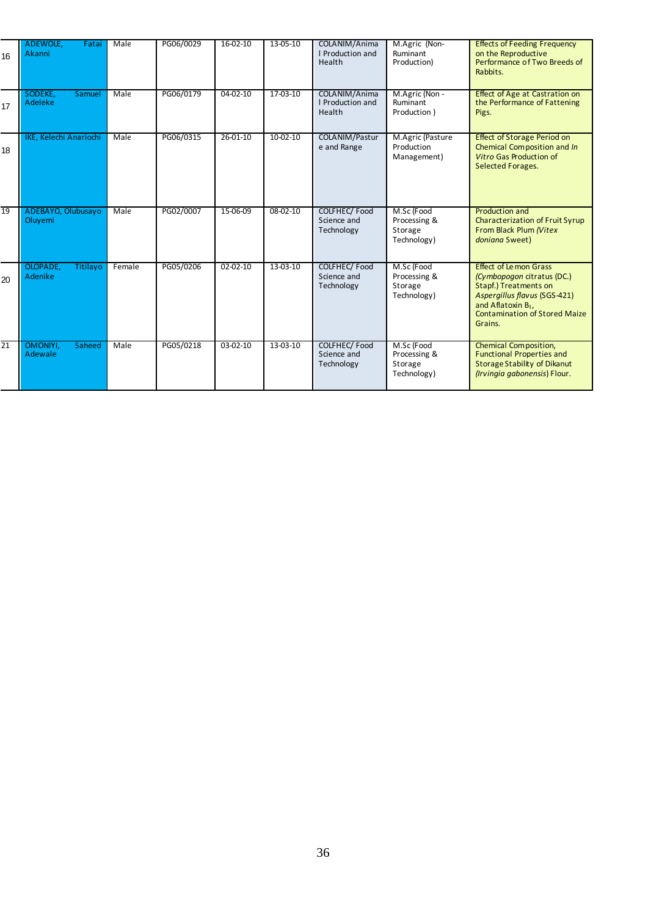| 16              | ADEWOLE,<br><b>Fatai</b><br>Akanni | Male   | PG06/0029 | 16-02-10       | 13-05-10       | COLANIM/Anima<br>I Production and<br>Health | M.Agric (Non-<br>Ruminant<br>Production)             | <b>Effects of Feeding Frequency</b><br>on the Reproductive<br>Performance of Two Breeds of<br>Rabbits.                                                                                                           |
|-----------------|------------------------------------|--------|-----------|----------------|----------------|---------------------------------------------|------------------------------------------------------|------------------------------------------------------------------------------------------------------------------------------------------------------------------------------------------------------------------|
| 17              | SODEKE.<br>Samuel<br>Adeleke       | Male   | PG06/0179 | 04-02-10       | 17-03-10       | COLANIM/Anima<br>I Production and<br>Health | M.Agric (Non -<br>Ruminant<br>Production)            | <b>Effect of Age at Castration on</b><br>the Performance of Fattening<br>Pigs.                                                                                                                                   |
| 18              | IKE, Kelechi Anariochi             | Male   | PG06/0315 | $26 - 01 - 10$ | $10-02-10$     | COLANIM/Pastur<br>e and Range               | M.Agric (Pasture<br>Production<br>Management)        | <b>Effect of Storage Period on</b><br>Chemical Composition and In<br><b>Vitro Gas Production of</b><br><b>Selected Forages.</b>                                                                                  |
| 19              | ADEBAYO, Olubusayo<br>Oluvemi      | Male   | PG02/0007 | 15-06-09       | $08 - 02 - 10$ | COLFHEC/Food<br>Science and<br>Technology   | M.Sc (Food<br>Processing &<br>Storage<br>Technology) | Production and<br><b>Characterization of Fruit Syrup</b><br>From Black Plum (Vitex<br>doniana Sweet)                                                                                                             |
| 20              | OLOPADE,<br>Titilayo<br>Adenike    | Female | PG05/0206 | $02 - 02 - 10$ | 13-03-10       | COLFHEC/Food<br>Science and<br>Technology   | M.Sc (Food<br>Processing &<br>Storage<br>Technology) | <b>Effect of Le mon Grass</b><br>(Cymbopogon citratus (DC.)<br><b>Stapf.) Treatments on</b><br>Aspergillus flavus (SGS-421)<br>and Aflatoxin B <sub>1</sub> ,<br><b>Contamination of Stored Maize</b><br>Grains. |
| $\overline{21}$ | OMONIYI.<br>Saheed<br>Adewale      | Male   | PG05/0218 | $03-02-10$     | 13-03-10       | COLFHEC/Food<br>Science and<br>Technology   | M.Sc (Food<br>Processing &<br>Storage<br>Technology) | Chemical Composition,<br><b>Functional Properties and</b><br><b>Storage Stability of Dikanut</b><br>(Irvingia gabonensis) Flour.                                                                                 |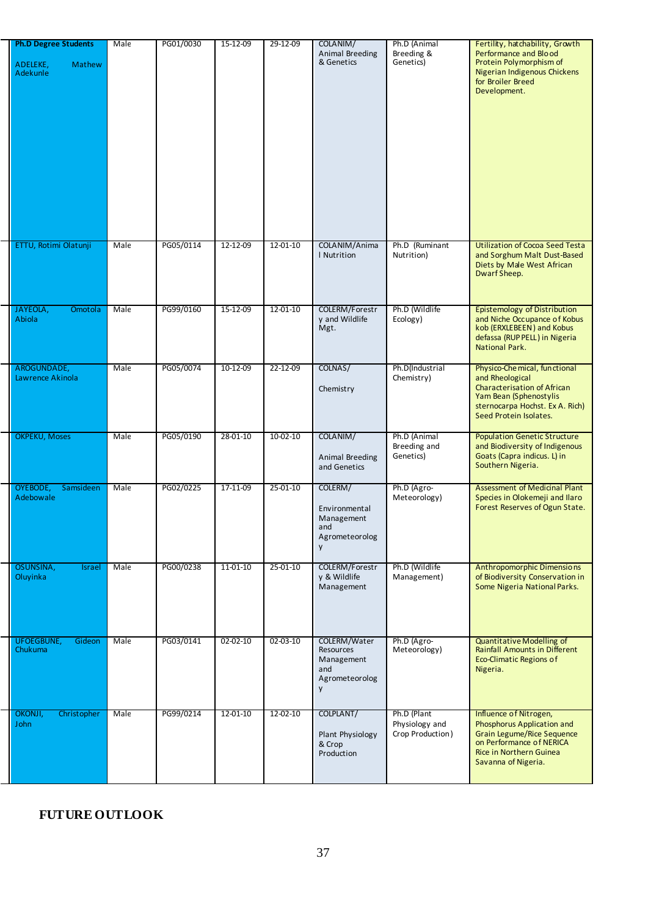| <b>Ph.D Degree Students</b><br>ADELEKE,<br><b>Mathew</b><br>Adekunle | Male | PG01/0030 | 15-12-09       | 29-12-09   | COLANIM/<br><b>Animal Breeding</b><br>& Genetics                      | Ph.D (Animal<br>Breeding &<br>Genetics)           | Fertility, hatchability, Growth<br>Performance and Blood<br>Protein Polymorphism of<br>Nigerian Indigenous Chickens<br>for Broiler Breed<br>Development.                      |
|----------------------------------------------------------------------|------|-----------|----------------|------------|-----------------------------------------------------------------------|---------------------------------------------------|-------------------------------------------------------------------------------------------------------------------------------------------------------------------------------|
| ETTU, Rotimi Olatunji                                                | Male | PG05/0114 | 12-12-09       | 12-01-10   | COLANIM/Anima<br>I Nutrition                                          | Ph.D (Ruminant<br>Nutrition)                      | <b>Utilization of Cocoa Seed Testa</b><br>and Sorghum Malt Dust-Based<br>Diets by Male West African<br>Dwarf Sheep.                                                           |
| JAYEOLA,<br><b>Omotola</b><br>Abiola                                 | Male | PG99/0160 | 15-12-09       | 12-01-10   | COLERM/Forestr<br>y and Wildlife<br>Mgt.                              | Ph.D (Wildlife<br>Ecology)                        | <b>Epistemology of Distribution</b><br>and Niche Occupance of Kobus<br>kob (ERXLEBEEN) and Kobus<br>defassa (RUP PELL) in Nigeria<br>National Park.                           |
| AROGUNDADE,<br>Lawrence Akinola                                      | Male | PG05/0074 | 10-12-09       | 22-12-09   | COLNAS/<br>Chemistry                                                  | Ph.D(Industrial<br>Chemistry)                     | Physico-Che mical, functional<br>and Rheological<br><b>Characterisation of African</b><br>Yam Bean (Sphenostylis<br>sternocarpa Hochst. Ex A. Rich)<br>Seed Protein Isolates. |
| <b>OKPEKU, Moses</b>                                                 | Male | PG05/0190 | 28-01-10       | $10-02-10$ | COLANIM/<br>Animal Breeding<br>and Genetics                           | Ph.D (Animal<br>Breeding and<br>Genetics)         | <b>Population Genetic Structure</b><br>and Biodiversity of Indigenous<br>Goats (Capra indicus. L) in<br>Southern Nigeria.                                                     |
| OYEBODE,<br>Samsideen<br>Adebowale                                   | Male | PG02/0225 | 17-11-09       | 25-01-10   | COLERM/<br>Environmental<br>Management<br>and<br>Agrometeorolog<br>y  | Ph.D (Agro-<br>Meteorology)                       | <b>Assessment of Medicinal Plant</b><br>Species in Olokemeji and Ilaro<br>Forest Reserves of Ogun State.                                                                      |
| OSUNSINA,<br>Israel<br>Oluyinka                                      | Male | PG00/0238 | 11-01-10       | 25-01-10   | COLERM/Forestr<br>y & Wildlife<br>Management                          | Ph.D (Wildlife<br>Management)                     | Anthropomorphic Dimensions<br>of Biodiversity Conservation in<br>Some Nigeria National Parks.                                                                                 |
| <b>UFOEGBUNE,</b><br>Gideon<br><b>Chukuma</b>                        | Male | PG03/0141 | $02 - 02 - 10$ | 02-03-10   | COLERM/Water<br>Resources<br>Management<br>and<br>Agrometeorolog<br>y | Ph.D (Agro-<br>Meteorology)                       | <b>Quantitative Modelling of</b><br>Rainfall Amounts in Different<br>Eco-Climatic Regions of<br>Nigeria.                                                                      |
| OKONJI,<br>Christopher<br><b>John</b>                                | Male | PG99/0214 | 12-01-10       | 12-02-10   | COLPLANT/<br>Plant Physiology<br>& Crop<br>Production                 | Ph.D (Plant<br>Physiology and<br>Crop Production) | Influence of Nitrogen,<br>Phosphorus Application and<br>Grain Legume/Rice Sequence<br>on Performance of NERICA<br>Rice in Northern Guinea<br>Savanna of Nigeria.              |

# **FUTURE OUTLOOK**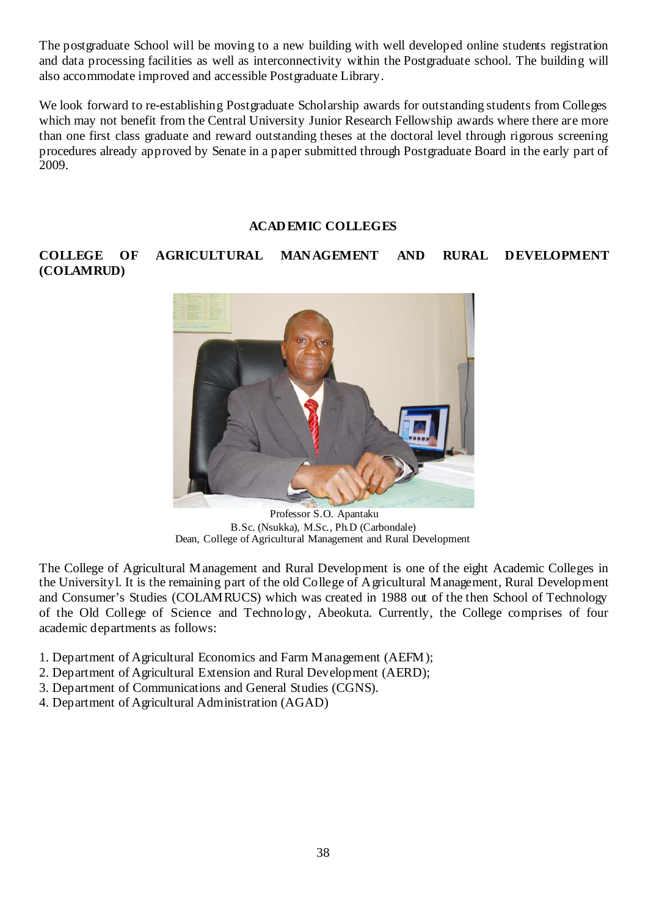The postgraduate School will be moving to a new building with well developed online students registration and data processing facilities as well as interconnectivity within the Postgraduate school. The building will also accommodate improved and accessible Postgraduate Library.

We look forward to re-establishing Postgraduate Scholarship awards for outstanding students from Colleges which may not benefit from the Central University Junior Research Fellowship awards where there are more than one first class graduate and reward outstanding theses at the doctoral level through rigorous screening procedures already approved by Senate in a paper submitted through Postgraduate Board in the early part of 2009.

#### **ACADEMIC COLLEGES**

# **COLLEGE OF AGRICULTURAL MANAGEMENT AND RURAL DEVELOPMENT (COLAMRUD)**



Professor S.O. Apantaku B.Sc. (Nsukka), M.Sc., Ph.D (Carbondale) Dean, College of Agricultural Management and Rural Development

The College of Agricultural Management and Rural Development is one of the eight Academic Colleges in the Universityl. It is the remaining part of the old College of Agricultural Management, Rural Development and Consumer's Studies (COLAMRUCS) which was created in 1988 out of the then School of Technology of the Old College of Science and Technology, Abeokuta. Currently, the College comprises of four academic departments as follows:

- 1. Department of Agricultural Economics and Farm Management (AEFM);
- 2. Department of Agricultural Extension and Rural Development (AERD);
- 3. Department of Communications and General Studies (CGNS).
- 4. Department of Agricultural Administration (AGAD)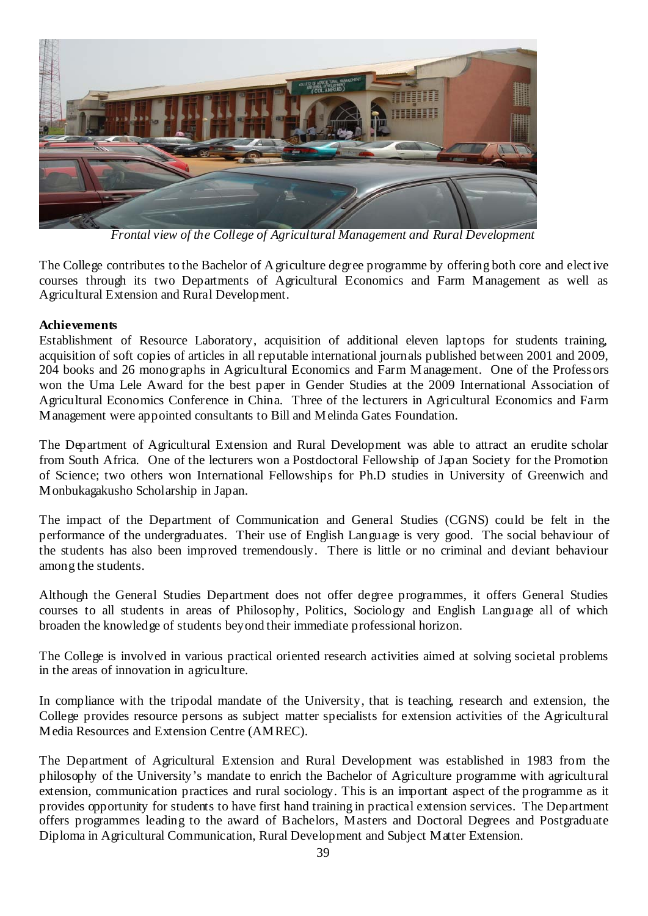

*Frontal view of the College of Agricultural Management and Rural Development* 

The College contributes to the Bachelor of Agriculture degree programme by offering both core and elect ive courses through its two Departments of Agricultural Economics and Farm Management as well as Agricultural Extension and Rural Development.

#### **Achievements**

Establishment of Resource Laboratory, acquisition of additional eleven laptops for students training, acquisition of soft copies of articles in all reputable international journals published between 2001 and 2009, 204 books and 26 monographs in Agricultural Economics and Farm Management. One of the Professors won the Uma Lele Award for the best paper in Gender Studies at the 2009 International Association of Agricultural Economics Conference in China. Three of the lecturers in Agricultural Economics and Farm Management were appointed consultants to Bill and Melinda Gates Foundation.

The Department of Agricultural Extension and Rural Development was able to attract an erudite scholar from South Africa. One of the lecturers won a Postdoctoral Fellowship of Japan Society for the Promotion of Science; two others won International Fellowships for Ph.D studies in University of Greenwich and Monbukagakusho Scholarship in Japan.

The impact of the Department of Communication and General Studies (CGNS) could be felt in the performance of the undergraduates. Their use of English Language is very good. The social behaviour of the students has also been improved tremendously. There is little or no criminal and deviant behaviour among the students.

Although the General Studies Department does not offer degree programmes, it offers General Studies courses to all students in areas of Philosophy, Politics, Sociology and English Language all of which broaden the knowledge of students beyond their immediate professional horizon.

The College is involved in various practical oriented research activities aimed at solving societal problems in the areas of innovation in agriculture.

In compliance with the tripodal mandate of the University, that is teaching, research and extension, the College provides resource persons as subject matter specialists for extension activities of the Agricultural Media Resources and Extension Centre (AMREC).

The Department of Agricultural Extension and Rural Development was established in 1983 from the philosophy of the University's mandate to enrich the Bachelor of Agriculture programme with agricultural extension, communication practices and rural sociology. This is an important aspect of the programme as it provides opportunity for students to have first hand training in practical extension services. The Department offers programmes leading to the award of Bachelors, Masters and Doctoral Degrees and Postgraduate Diploma in Agricultural Communication, Rural Development and Subject Matter Extension.